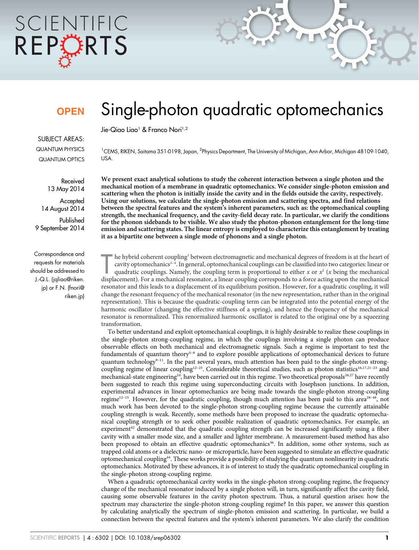# SCIENTIFIC REPCRTS

## **OPEN**

Single-photon quadratic optomechanics

Jie-Qiao Liao<sup>1</sup> & Franco Nori<sup>1,2</sup>

SUBJECT AREAS: QUANTUM PHYSICS QUANTUM OPTICS

> Received 13 May 2014

**Accepted** 14 August 2014

Published 9 September 2014

Correspondence and requests for materials should be addressed to J.-Q.L. (jqliao@riken. jp) or F.N. (fnori@ riken.jp)

<sup>1</sup>CEMS, RIKEN, Saitama 351-0198, Japan, <sup>2</sup>Physics Department, The University of Michigan, Ann Arbor, Michigan 48109-1040, USA.

We present exact analytical solutions to study the coherent interaction between a single photon and the mechanical motion of a membrane in quadratic optomechanics. We consider single-photon emission and scattering when the photon is initially inside the cavity and in the fields outside the cavity, respectively. Using our solutions, we calculate the single-photon emission and scattering spectra, and find relations between the spectral features and the system's inherent parameters, such as: the optomechanical coupling strength, the mechanical frequency, and the cavity-field decay rate. In particular, we clarify the conditions for the phonon sidebands to be visible. We also study the photon-phonon entanglement for the long-time emission and scattering states. The linear entropy is employed to characterize this entanglement by treating it as a bipartite one between a single mode of phonons and a single photon.

he hybrid coherent coupling<sup>1</sup> between electromagnetic and mechanical degrees of freedom is at the heart of cavity optomechanics<sup>2-4</sup>. In general, optomechanical couplings can be classified into two categories: linear or he hybrid coherent coupling<sup>1</sup> between electromagnetic and mechanical degrees of freedom is at the heart of cavity optomechanics2–4. In general, optomechanical couplings can be classified into two categories: linear or quadratic couplings. Namely, the coupling term is proportional to either x or  $x^2$  (x being the mechanical resonator and this leads to a displacement of its equilibrium position. However, for a quadratic coupling, it will change the resonant frequency of the mechanical resonator (in the new representation, rather than in the original representation). This is because the quadratic-coupling term can be integrated into the potential energy of the harmonic oscillator (changing the effective stiffness of a spring), and hence the frequency of the mechanical resonator is renormalized. This renormalized harmonic oscillator is related to the original one by a squeezing transformation.

To better understand and exploit optomechanical couplings, it is highly desirable to realize these couplings in the single-photon strong-coupling regime, in which the couplings involving a single photon can produce observable effects on both mechanical and electromagnetic signals. Such a regime is important to test the fundamentals of quantum theory<sup>5-8</sup> and to explore possible applications of optomechanical devices to future quantum technology<sup>9-11</sup>. In the past several years, much attention has been paid to the single-photon strongcoupling regime of linear coupling<sup>12–25</sup>. Considerable theoretical studies, such as photon statistics<sup>16,17,21–23</sup> and mechanical-state engineering<sup>24</sup>, have been carried out in this regime. Two theoretical proposals<sup>26,27</sup> have recently been suggested to reach this regime using superconducting circuits with Josephson junctions. In addition, experimental advances in linear optomechanics are being made towards the single-photon strong-coupling regime<sup>12–15</sup>. However, for the quadratic coupling, though much attention has been paid to this area<sup>28–48</sup>, not much work has been devoted to the single-photon strong-coupling regime because the currently attainable coupling strength is weak. Recently, some methods have been proposed to increase the quadratic optomechanical coupling strength or to seek other possible realization of quadratic optomechanics. For example, an experiment<sup>42</sup> demonstrated that the quadratic coupling strength can be increased significantly using a fiber cavity with a smaller mode size, and a smaller and lighter membrane. A measurement-based method has also been proposed to obtain an effective quadratic optomechanics<sup>36</sup>. In addition, some other systems, such as trapped cold atoms or a dielectric nano- or microparticle, have been suggested to simulate an effective quadratic optomechanical coupling44. These works provide a possibility of studying the quantum nonlinearity in quadratic optomechanics. Motivated by these advances, it is of interest to study the quadratic optomechanical coupling in the single-photon strong-coupling regime.

When a quadratic optomechanical cavity works in the single-photon strong-coupling regime, the frequency change of the mechanical resonator induced by a single photon will, in turn, significantly affect the cavity field, causing some observable features in the cavity photon spectrum. Thus, a natural question arises: how the spectrum may characterize the single-photon strong-coupling regime? In this paper, we answer this question by calculating analytically the spectrum of single-photon emission and scattering. In particular, we build a connection between the spectral features and the system's inherent parameters. We also clarify the condition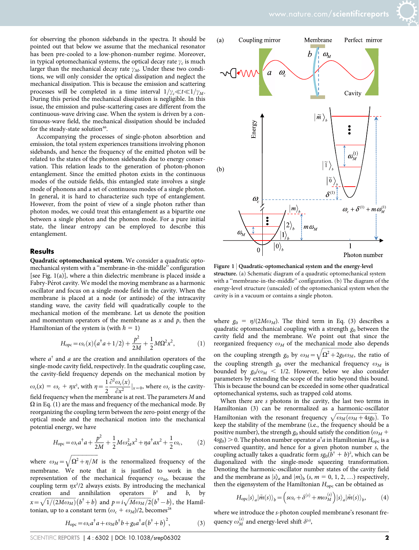for observing the phonon sidebands in the spectra. It should be pointed out that below we assume that the mechanical resonator has been pre-cooled to a low-phonon-number regime. Moreover, in typical optomechanical systems, the optical decay rate  $\gamma_c$  is much larger than the mechanical decay rate  $\gamma_M$ . Under these two conditions, we will only consider the optical dissipation and neglect the mechanical dissipation. This is because the emission and scattering processes will be completed in a time interval  $1/\gamma_c \ll t \ll 1/\gamma_M$ . During this period the mechanical dissipation is negligible. In this issue, the emission and pulse-scattering cases are different from the continuous-wave driving case. When the system is driven by a continuous-wave field, the mechanical dissipation should be included for the steady-state solution<sup>46</sup>.

Accompanying the processes of single-photon absorbtion and emission, the total system experiences transitions involving phonon sidebands, and hence the frequency of the emitted photon will be related to the states of the phonon sidebands due to energy conservation. This relation leads to the generation of photon-phonon entanglement. Since the emitted photon exists in the continuous modes of the outside fields, this entangled state involves a single mode of phonons and a set of continuous modes of a single photon. In general, it is hard to characterize such type of entanglement. However, from the point of view of a single photon rather than photon modes, we could treat this entanglement as a bipartite one between a single photon and the phonon mode. For a pure initial state, the linear entropy can be employed to describe this entanglement.

#### **Results**

Quadratic optomechanical system. We consider a quadratic optomechanical system with a ''membrane-in-the-middle'' configuration [see Fig. 1(a)], where a thin dielectric membrane is placed inside a Fabry-Pérot cavity. We model the moving membrane as a harmonic oscillator and focus on a single-mode field in the cavity. When the membrane is placed at a node (or antinode) of the intracavity standing wave, the cavity field will quadratically couple to the mechanical motion of the membrane. Let us denote the position and momentum operators of the membrane as  $x$  and  $p$ , then the Hamiltonian of the system is (with  $\hbar = 1$ )

$$
H_{\rm opc} = \omega_c(x) \left( a^\dagger a + 1/2 \right) + \frac{p^2}{2M} + \frac{1}{2} M \Omega^2 x^2, \tag{1}
$$

where  $a^{\dagger}$  and a are the creation and annihilation operators of the single-mode cavity field, respectively. In the quadratic coupling case, the cavity-field frequency depends on the mechanical motion by  $\omega_c(x) = \omega_c + \eta x^2$ , with  $\eta = \frac{1}{2}$  $\frac{\partial^2 \omega_c(x)}{\partial x^2} |_{x=0}$ , where  $\omega_c$  is the cavityfield frequency when the membrane is at rest. The parameters M and  $\Omega$  in Eq. (1) are the mass and frequency of the mechanical mode. By reorganizing the coupling term between the zero-point energy of the optical mode and the mechanical motion into the mechanical potential energy, we have

$$
H_{\rm opc} = \omega_c a^{\dagger} a + \frac{p^2}{2M} + \frac{1}{2} M \omega_M^2 x^2 + \eta a^{\dagger} a x^2 + \frac{1}{2} \omega_c, \tag{2}
$$

where  $\omega_M = \sqrt{\Omega^2 + \eta/M}$  $\sqrt{\Omega^2 + \eta/M}$ is the renormalized frequency of the membrane. We note that it is justified to work in the representation of the mechanical frequency  $\omega_M$ , because the coupling term  $\eta x^2/2$  always exists. By introducing the mechanical creation and annihilation operators  $b^{\dagger}$  and b, by  $x = \sqrt{1/(2M\omega_M)}(b^{\dagger}+b)$  and  $p=i\sqrt{M\omega_M/2}(b^{\dagger}-b)$ , the Hamiltonian, up to a constant term  $(\omega_c + \omega_M)/2$ , becomes<sup>28</sup>

$$
H_{\text{opc}} = \omega_c a^{\dagger} a + \omega_M b^{\dagger} b + g_0 a^{\dagger} a (b^{\dagger} + b)^2, \tag{3}
$$



Figure 1 | Quadratic-optomechanical system and the energy-level structure. (a) Schematic diagram of a quadratic optomechanical system with a ''membrane-in-the-middle'' configuration. (b) The diagram of the energy-level structure (unscaled) of the optomechanical system when the cavity is in a vacuum or contains a single photon.

where  $g_0 = \eta/(2M\omega_M)$ . The third term in Eq. (3) describes a quadratic optomechanical coupling with a strength  $g_0$  between the cavity field and the membrane. We point out that since the reorganized frequency  $\omega_M$  of the mechanical mode also depends on the coupling strength  $g_0$  by  $\omega_M = \sqrt{\Omega^2 + 2g_0 \omega_M}$  $\sqrt{\Omega^2 + 2g_0 \omega_M}$ , the ratio of the coupling strength  $g_0$  over the mechanical frequency  $\omega_M$  is bounded by  $g_0/\omega_M$  < 1/2. However, below we also consider parameters by extending the scope of the ratio beyond this bound. This is because the bound can be exceeded in some other quadratical optomechanical systems, such as trapped cold atoms.

When there are s photons in the cavity, the last two terms in Hamiltonian (3) can be renormalized as a harmonic-oscillator Hamiltonian with the resonant frequency  $\sqrt{\omega_M(\omega_M+4sg_0)}$ . To keep the stability of the membrane (i.e., the frequency should be a positive number), the strength  $g_0$  should satisfy the condition ( $\omega_M$  +  $4sg_0$ )  $> 0$ . The photon number operator  $a^{\dagger}a$  in Hamiltonian  $H_{\text{opc}}$  is a conserved quantity, and hence for a given photon number s, the coupling actually takes a quadratic form  $sg_0(b^{\dagger} + b)^2$ , which can be diagonalized with the single-mode squeezing transformation. Denoting the harmonic-oscillator number states of the cavity field and the membrane as  $|s\rangle_a$  and  $|m\rangle_b$  (s,  $m = 0, 1, 2, ...$ ) respectively, then the eigensystem of the Hamiltonian  $H_{\text{opc}}$  can be obtained as

$$
H_{\text{ope}}|s\rangle_a|\tilde{m}(s)\rangle_b = \left(s\omega_c + \delta^{(s)} + m\omega_M^{(s)}\right)|s\rangle_a|\tilde{m}(s)\rangle_b, \tag{4}
$$

where we introduce the s-photon coupled membrane's resonant frequency  $\omega_M^{(s)}$  and energy-level shift  $\delta^{(s)}$ ,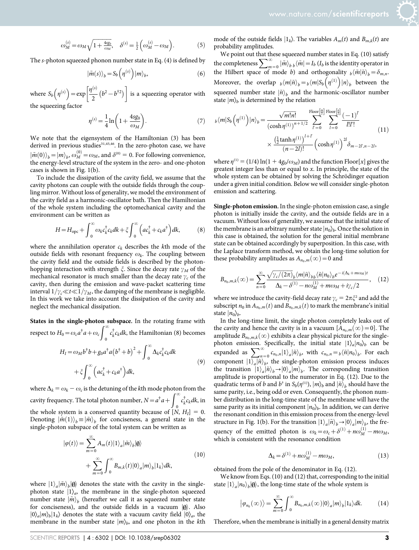$$
\omega_M^{(s)} = \omega_M \sqrt{1 + \frac{4sg_0}{\omega_M}}, \quad \delta^{(s)} = \frac{1}{2} \left( \omega_M^{(s)} - \omega_M \right). \tag{5}
$$

The s-photon squeezed phonon number state in Eq. (4) is defined by

$$
|\tilde{m}(s)\rangle_b = S_b\left(\eta^{(s)}\right)|m\rangle_b, \tag{6}
$$

where  $S_b(\eta^{(s)}) = \exp\left[\frac{\eta^{(s)}}{2}\right]$  $\left[\frac{\eta^{(s)}}{2}\left(b^2-b^{\dagger2}\right)\right]$  is a squeezing operator with the squeezing factor

$$
\eta^{(s)} = \frac{1}{4} \ln \left( 1 + \frac{4sg_0}{\omega_M} \right). \tag{7}
$$

We note that the eigensystem of the Hamiltonian (3) has been derived in previous studies<sup>31,45,46</sup>. In the zero-photon case, we have  $\ket{\tilde{m}(0)}_b = \ket{m}_b$ ,  $\omega_M^{(0)} = \omega_M$ , and  $\delta^{(0)} = 0$ . For following convenience, the energy-level structure of the system in the zero- and one-photon cases is shown in Fig. 1(b).

To include the dissipation of the cavity field, we assume that the cavity photons can couple with the outside fields through the coupling mirror. Without loss of generality, we model the environment of the cavity field as a harmonic-oscillator bath. Then the Hamiltonian of the whole system including the optomechanical cavity and the environment can be written as

$$
H = H_{\rm opc} + \int_0^\infty \omega_k c_k^\dagger c_k dk + \xi \int_0^\infty \left( a c_k^\dagger + c_k a^\dagger \right) dk, \tag{8}
$$

where the annihilation operator  $c_k$  describes the kth mode of the outside fields with resonant frequency  $\omega_k$ . The coupling between the cavity field and the outside fields is described by the photonhopping interaction with strength  $\xi$ . Since the decay rate  $\gamma_M$  of the mechanical resonator is much smaller than the decay rate  $\gamma_c$  of the cavity, then during the emission and wave-packet scattering time interval  $1/\gamma_c \ll t \ll 1/\gamma_M$ , the damping of the membrane is negligible. In this work we take into account the dissipation of the cavity and neglect the mechanical dissipation.

States in the single-photon subspace. In the rotating frame with respect to  $H_0 = \omega_c a^{\dagger} a + \omega_c \int_0^{\infty} c_k^{\dagger} c_k dk$ , the Hamiltonian (8) becomes

$$
H_{I} = \omega_{M} b^{\dagger} b + g_{0} a^{\dagger} a (b^{\dagger} + b)^{2} + \int_{0}^{\infty} \Delta_{k} c_{k}^{\dagger} c_{k} dk
$$
  
+  $\xi \int_{0}^{\infty} \left( a c_{k}^{\dagger} + c_{k} a^{\dagger} \right) dk,$  (9)

where  $\Delta_k = \omega_k - \omega_c$  is the detuning of the kth mode photon from the cavity frequency. The total photon number,  $N = a^{\dagger} a + \int_{0}^{\infty} c_{k}^{\dagger} c_{k} dk$ , in the whole system is a conserved quantity because of  $[N, H_I] = 0$ . Denoting  $|\tilde{m}(1)\rangle_b \equiv |\tilde{m}\rangle_b$  for conciseness, a general state in the single-photon subspace of the total system can be written as

$$
|\varphi(t)\rangle = \sum_{m=0}^{\infty} A_m(t) |1\rangle_a |\tilde{m}\rangle_b |0\rangle
$$
  
+ 
$$
\sum_{m=0}^{\infty} \int_0^{\infty} B_{m,k}(t) |0\rangle_a |m\rangle_b |1_k\rangle dk,
$$
 (10)

where  $|1\rangle_a |\tilde{m}\rangle_b |\emptyset\rangle$  denotes the state with the cavity in the singlephoton state  $|1\rangle_a$ , the membrane in the single-photon squeezed number state  $\ket{\tilde{m}}_b$  (hereafter we call it as squeezed number state for conciseness), and the outside fields in a vacuum  $|\phi\rangle$ . Also  $|0\rangle_a|m\rangle_b|1_k\rangle$  denotes the state with a vacuum cavity field  $|0\rangle_a$ , the membrane in the number state  $|m\rangle_b$ , and one photon in the kth mode of the outside fields  $|1_k\rangle$ . The variables  $A_m(t)$  and  $B_{m,k}(t)$  are probability amplitudes.

We point out that these squeezed number states in Eq. (10) satisfy the completeness  $\sum_{m=0}^{\infty} |\tilde{m}\rangle_{b} \, b \, |\tilde{m}| = I_b (I_b \text{ is the identity operator in})$ the Hilbert space of mode b) and orthogonality  $\phi\langle\tilde{m}|\tilde{n}\rangle_b = \delta_{m,n}$ . Moreover, the overlap  $b \langle m | \tilde{n} \rangle_b = b \langle m | S_b ( \eta^{(1)} ) | n \rangle_b$  between the squeezed number state  $\left| \tilde{n} \right\rangle_b$  and the harmonic-oscillator number state  $|m\rangle_b$  is determined by the relation

$$
b\langle m|S_b(\eta^{(1)})|n\rangle_b = \frac{\sqrt{m!n!}}{\left(\cosh \eta^{(1)}\right)^{n+1/2}} \sum_{l'=0}^{\text{Floor}\left[\frac{m}{2}\right]} \sum_{l=0}^{\text{Floor}\left[\frac{m}{2}\right]} \frac{(-1)^l}{l!l!}
$$
\n
$$
\times \frac{\left(\frac{1}{2} \tanh \eta^{(1)}\right)^{l+l}}{(n-2l)!} \left(\cosh \eta^{(1)}\right)^{2l} \delta_{m-2l,n-2l},\tag{11}
$$

where  $\eta^{(1)} = (1/4) \ln(1 + 4g_0/\omega_M)$  and the function Floor[x] gives the greatest integer less than or equal to x. In principle, the state of the whole system can be obtained by solving the Schrödinger equation under a given initial condition. Below we will consider single-photon emission and scattering.

Single-photon emission. In the single-photon emission case, a single photon is initially inside the cavity, and the outside fields are in a vacuum. Without loss of generality, we assume that the initial state of the membrane is an arbitrary number state  $|n_0\rangle_b$ . Once the solution in this case is obtained, the solution for the general initial membrane state can be obtained accordingly by superposition. In this case, with the Laplace transform method, we obtain the long-time solution for these probability amplitudes as  $A_{n_0,m}(\infty) = 0$  and

$$
B_{n_0,m,k}(\infty) = \sum_{n=0}^{\infty} \frac{\sqrt{\gamma_c/(2\pi)}_b \langle m|\tilde{n}\rangle_{bb} \langle \tilde{n}|n_0\rangle_b e^{-i(\Delta_k + m\omega_M)t}}{\Delta_k - \delta^{(1)} - n\omega_M^{(1)} + m\omega_M + i\gamma_c/2}, \quad (12)
$$

where we introduce the cavity-field decay rate  $\gamma_c = 2\pi \xi^2$  and add the subscript  $n_0$  in  $A_{n_0,m}(t)$  and  $B_{n_0,m,k}(t)$  to mark the membrane's initial state  $|n_0\rangle_b$ .

In the long-time limit, the single photon completely leaks out of the cavity and hence the cavity is in a vacuum  $[A_{n_0,m}(\infty)=0]$ . The amplitude  $B_{n_0,m,k}(\infty)$  exhibits a clear physical picture for the singlephoton emission. Specifically, the initial state  $|1\rangle_a|n_0\rangle_b$  can be expanded as  $\sum_{n=0}^{\infty} c_{n_0,n}|1\rangle_a|\tilde{n}\rangle_b$ , with  $c_{n_0,n} = {}_b\langle\tilde{n}|n_0\rangle_b$ . For each component  $|1\rangle_a |\tilde{n}\rangle_b$ , the single-photon emission process induces the transition  $|1\rangle_a |\tilde{n}\rangle_b \rightarrow |0\rangle_a |m\rangle_b$ . The corresponding transition amplitude is proportional to the numerator in Eq. (12). Due to the quadratic terms of b and b<sup>†</sup> in  $S_b(\eta^{(1)})$ ,  $|m\rangle_b$  and  $|\tilde{n}\rangle_b$  should have the same parity, i.e., being odd or even. Consequently, the phonon number distribution in the long-time state of the membrane will have the same parity as its initial component  $|n_0\rangle_b$ . In addition, we can derive the resonant condition in this emission process from the energy-level structure in Fig. 1(b). For the transition  $|1\rangle_a |\tilde{n}\rangle_b \rightarrow |0\rangle_a |m\rangle_b$ , the frequency of the emitted photon is  $\omega_k = \omega_c + \delta^{(1)} + n\omega_M^{(1)} - m\omega_M$ , which is consistent with the resonance condition

$$
\Delta_k = \delta^{(1)} + n\omega_M^{(1)} - m\omega_M,\tag{13}
$$

obtained from the pole of the denominator in Eq. (12).

We know from Eqs. (10) and (12) that, corresponding to the initial state  $|1\rangle_a |n_0\rangle_b |0\rangle$ , the long-time state of the whole system is

$$
|\varphi_{n_0}(\infty)\rangle = \sum_{m=0}^{\infty} \int_0^{\infty} B_{n_0,m,k}(\infty) |0\rangle_a |m\rangle_b |1_k\rangle dk. \tag{14}
$$

Therefore, when the membrane is initially in a general density matrix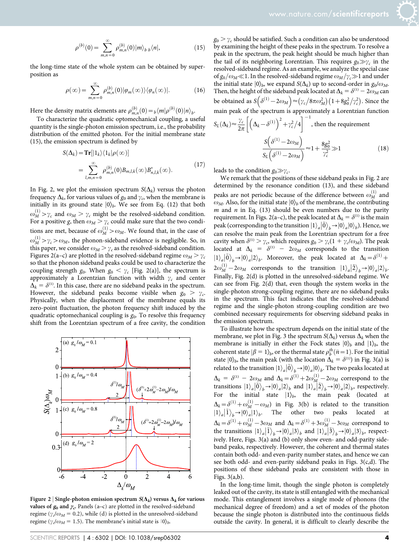$$
\rho^{(b)}(0) = \sum_{m,n=0}^{\infty} \rho_{m,n}^{(b)}(0) |m\rangle_{b\ b} \langle n|,\tag{15}
$$

the long-time state of the whole system can be obtained by superposition as

$$
\rho(\infty) = \sum_{m,n=0}^{\infty} \rho_{m,n}^{(b)}(0) |\varphi_m(\infty)\rangle \langle \varphi_n(\infty)|. \tag{16}
$$

Here the density matrix elements are  $\rho_{m,n}^{(b)}(0) = \frac{b}{m} \langle m | \rho^{(b)}(0) | n \rangle_b$ .

To characterize the quadratic optomechanical coupling, a useful quantity is the single-photon emission spectrum, i.e., the probability distribution of the emitted photon. For the initial membrane state (15), the emission spectrum is defined by

$$
S(\Delta_k) = \mathbf{Tr} [|1_k\rangle \langle 1_k | \rho(\infty)]
$$
  
= 
$$
\sum_{l,m,n=0}^{\infty} \rho_{m,n}^{(b)}(0) B_{m,l,k}(\infty) B_{n,l,k}^*(\infty).
$$
 (17)

In Fig. 2, we plot the emission spectrum  $S(\Delta_k)$  versus the photon frequency  $\Delta_k$ , for various values of  $g_0$  and  $\gamma_c$ , when the membrane is initially in its ground state  $|0\rangle_b$ . We see from Eq. (12) that both  $\omega_M^{(1)} > \gamma_c$  and  $\omega_M > \gamma_c$  might be the resolved-sideband condition. For a positive g, then  $\omega_M > \gamma_c$  could make sure that the two conditions are met, because of  $\omega_M^{(1)} > \omega_M$ . We found that, in the case of  $\omega_M^{(1)} > \gamma_c > \omega_M$ , the phonon-sideband evidence is negligible. So, in this paper, we consider  $\omega_M > \gamma_c$  as the resolved-sideband condition. Figures 2(a–c) are plotted in the resolved-sideband regime  $\omega_M > \gamma_c$ so that the phonon sideband peaks could be used to characterize the coupling strength  $g_0$ . When  $g_0 < \gamma_c$  [Fig. 2(a)], the spectrum is approximately a Lorentzian function with width  $\gamma_c$  and center  $\Delta_k = \delta^{(1)}$ . In this case, there are no sideband peaks in the spectrum. However, the sideband peaks become visible when  $g_0 > \gamma_c$ . Physically, when the displacement of the membrane equals its zero-point fluctuation, the photon frequency shift induced by the quadratic optomechanical coupling is  $g_0$ . To resolve this frequency shift from the Lorentzian spectrum of a free cavity, the condition



Figure 2 | Single-photon emission spectrum  $S(\Delta_k)$  versus  $\Delta_k$  for various values of  $g_0$  and  $\gamma_c$ . Panels (a–c) are plotted in the resolved-sideband regime ( $\gamma_d/\omega_M$  = 0.2), while (d) is plotted in the unresolved-sideband regime ( $\gamma \, \text{d} \omega_M = 1.5$ ). The membrane's initial state is  $|0\rangle_b$ .

 $g_0 > \gamma_c$  should be satisfied. Such a condition can also be understood by examining the height of these peaks in the spectrum. To resolve a peak in the spectrum, the peak height should be much higher than the tail of its neighboring Lorentzian. This requires  $g_0 \gg \gamma_c$  in the resolved-sideband regime. As an example, we analyze the special case of  $g_0/\omega_M\ll$ 1. In the resolved-sideband regime  $\omega_M/\gamma_c\gg1$  and under the initial state  $|0\rangle_b$ , we expand  $S(\Delta_k)$  up to second-order in  $g_0/\omega_M$ . Then, the height of the sideband peak located at  $\Delta_k = \delta^{(1)} - 2\omega_M$  can be obtained as  $S(\delta^{(1)} - 2\omega_M) \approx (\gamma_c/8\pi\omega_M^2)(1+8g_0^2/\gamma_c^2)$ . Since the

main peak of the spectrum is approximately a Lorentzian function  
\n
$$
S_L(\Delta_k) \approx \frac{\gamma_c}{2\pi} \left[ \left( \Delta_k - \delta^{(1)} \right)^2 + \gamma_c^2 / 4 \right]^{-1}, \text{ then the requirement}
$$
\n
$$
\frac{S\left( \delta^{(1)} - 2\omega_M \right)}{S_L \left( \delta^{(1)} - 2\omega_M \right)} \approx 1 + \frac{8g_0^2}{\gamma_c^2} \gg 1 \tag{18}
$$

leads to the condition  $g_0 \gg \gamma_c$ .

We remark that the positions of these sideband peaks in Fig. 2 are determined by the resonance condition (13), and these sideband peaks are not periodic because of the difference between  $\omega_M^{(1)}$  and  $\omega_M$ . Also, for the initial state  $|0\rangle_b$  of the membrane, the contributing  $m$  and  $n$  in Eq. (13) should be even numbers due to the parity requirement. In Figs. 2(a–c), the peak located at  $\Delta_k = \delta^{(1)}$  is the main peak (corresponding to the transition  $|1\rangle_a |\tilde{0}\rangle_b \rightarrow |0\rangle_a |0\rangle_b$ ). Hence, we can resolve the main peak from the Lorentzian spectrum for a free cavity when  $\delta^{(1)} > \gamma_c$ , which requires  $g_0 > \gamma_c(1 + \gamma_c/\omega_M)$ . The peak located at  $\Delta_k = \delta^{(1)} - 2\omega_M$  corresponds to the transition  $|1\rangle_a |\tilde{0}\rangle_b \rightarrow |0\rangle_a |2\rangle_b$ . Moreover, the peak located at  $\Delta_k = \delta^{(1)} +$  $2\omega_M^{(1)} - 2\omega_M$  corresponds to the transition  $|1\rangle_a |\tilde{2}\rangle_b \rightarrow |0\rangle_a |2\rangle_b$ . Finally, Fig. 2(d) is plotted in the unresolved-sideband regime. We can see from Fig. 2(d) that, even though the system works in the single-photon strong-coupling regime, there are no sideband peaks in the spectrum. This fact indicates that the resolved-sideband regime and the single-photon strong-coupling condition are two combined necessary requirements for observing sideband peaks in the emission spectrum.

To illustrate how the spectrum depends on the initial state of the membrane, we plot in Fig. 3 the spectrum  $S(\Delta_k)$  versus  $\Delta_k$  when the membrane is initially in either the Fock states  $|0\rangle_b$  and  $|1\rangle_b$ , the coherent state  $|\beta = 1\rangle_b$ , or the thermal state  $\rho_b^{th}(\bar{n} = 1)$ . For the initial state  $|0\rangle_b$ , the main peak (with the location  $\Delta_k = \delta^{(1)}$ ) in Fig. 3(a) is related to the transition  $|1\rangle_a |\tilde{0}\rangle_b \rightarrow |0\rangle_a |0\rangle_b$ . The two peaks located at  $\Delta_k = \delta^{(1)} - 2\omega_M$  and  $\Delta_k = \delta^{(1)} + 2\omega_M^{(1)} - 2\omega_M$  correspond to the transitions  $|1\rangle_a|\tilde{0}\rangle_b \rightarrow |0\rangle_a|2\rangle_b$  and  $|1\rangle_a|\tilde{2}\rangle_b \rightarrow |0\rangle_a|2\rangle_b$ , respectively. For the initial state  $|1\rangle_b$ , the main peak (located at  $\Delta_k = \delta^{(1)} + \omega_M^{(1)} - \omega_M$  in Fig. 3(b) is related to the transition  $\frac{d\mathbf{x}}{dt}$   $\int_{a}^{b} \frac{d\mathbf{x}}{dt} d\mathbf{x}$  and  $\int_{b}^{b}$ . The other two peaks located at  $\Delta_k = \delta^{(1)} + \omega_M^{(1)} - 3\omega_M$  and  $\Delta_k = \delta^{(1)} + 3\omega_M^{(1)} - 3\omega_M$  correspond to the transitions  $|1\rangle_a |\tilde{1}\rangle_b \rightarrow |0\rangle_a |3\rangle_b$  and  $|1\rangle_a |\tilde{3}\rangle_b \rightarrow |0\rangle_a |3\rangle_b$ , respectively. Here, Figs. 3(a) and (b) only show even- and odd-parity sideband peaks, respectively. However, the coherent and thermal states contain both odd- and even-parity number states, and hence we can see both odd- and even-parity sideband peaks in Figs. 3(c,d). The positions of these sideband peaks are consistent with those in Figs. 3(a,b).

In the long-time limit, though the single photon is completely leaked out of the cavity, its state is still entangled with the mechanical mode. This entanglement involves a single mode of phonons (the mechanical degree of freedom) and a set of modes of the photon because the single photon is distributed into the continuous fields outside the cavity. In general, it is difficult to clearly describe the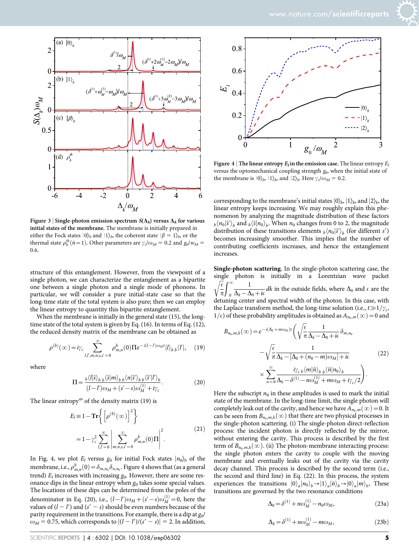



Figure 3 | Single-photon emission spectrum  $S(\Delta_k)$  versus  $\Delta_k$  for various initial states of the membrane. The membrane is initially prepared in either the Fock states  $|0\rangle_b$  and  $|1\rangle_b$ , the coherent state  $|\beta = 1\rangle_b$ , or the thermal state  $\rho_b^{th}(\bar{n}=1)$ . Other parameters are  $\gamma_c/\omega_M = 0.2$  and  $g_0/w_M =$ 0.6.

structure of this entanglement. However, from the viewpoint of a single photon, we can characterize the entanglement as a bipartite one between a single photon and a single mode of phonons. In particular, we will consider a pure initial-state case so that the long-time state of the total system is also pure; then we can employ the linear entropy to quantity this bipartite entanglement.

When the membrane is initially in the general state (15), the longtime state of the total system is given by Eq. (16). In terms of Eq. (12), the reduced density matrix of the membrane can be obtained as

$$
\rho^{(b)}(\infty) = i\gamma_c \sum_{l,l',m,n,s,s'=0}^{\infty} \rho^b_{m,n}(0) \Pi e^{-i(l-l')\omega_M t} |l\rangle_b \, \langle l'|, \quad (19)
$$

where

$$
\Pi = \frac{b \langle l|\tilde{s}\rangle_b \, b \langle \tilde{s}|m\rangle_b \, \langle n|\tilde{s}'\rangle_b \, b \langle \tilde{s}'|l'\rangle_b}{(l-l')\omega_M + (s'-s)\omega_M^{(1)} + i\gamma_c}.\tag{20}
$$

The linear entropy<sup>49</sup> of the density matrix  $(19)$  is

$$
E_l \equiv 1 - \mathbf{Tr} \left\{ \left[ \rho^{(b)}(\infty) \right]^2 \right\}
$$
  
=  $1 - \gamma_c^2 \sum_{l,l'=0}^{\infty} \left| \sum_{m,n,s,s'=0}^{\infty} \rho_{m,n}^b(0) \Pi \right|^2$ . (21)

In Fig. 4, we plot  $E_l$  versus  $g_0$  for initial Fock states  $|n_0\rangle_b$  of the membrane, i.e.,  $\rho^b_{m,n}(0)$   $=$   $\delta_{m,n_0}\delta_{n,n_0}.$  Figure 4 shows that (as a general trend)  $E_l$  increases with increasing  $g_0$ . However, there are some resonance dips in the linear entropy when  $g_0$  takes some special values. The locations of these dips can be determined from the poles of the denominator in Eq. (20), i.e.,  $(l - l')\omega_M + (s' - s)\omega_M^{(1)} = 0$ , here the values of  $(l - l')$  and  $(s' - s)$  should be even numbers because of the parity requirement in the transitions. For example, there is a dip at  $g_0$ /  $\omega_M$  = 0.75, which corresponds to  $|(l - l')/(s' - s)| = 2$ . In addition,



Figure 4 | The linear entropy  $E_l$  in the emission case. The linear entropy  $E_l$ versus the optomechanical coupling strength  $g<sub>0</sub>$ , when the initial state of the membrane is  $|0\rangle_b$ ,  $|1\rangle_b$  and  $|2\rangle_b$ . Here  $\gamma_d/\omega_M = 0.2$ .

corresponding to the membrane's initial states  $|0\rangle_b$ ,  $|1\rangle_b$ , and  $|2\rangle_b$ , the linear entropy keeps increasing. We may roughly explain this phenomenon by analyzing the magnitude distribution of these factors  $b_n \langle n_0 | \tilde{s}' \rangle_b$  and  $b_n \langle \tilde{s} | n_0 \rangle_b$ . When  $n_0$  changes from 0 to 2, the magnitude distribution of these transitions elements  $b \langle n_0 | \tilde{s}' \rangle_b$  (for different s') becomes increasingly smoother. This implies that the number of contributing coefficients increases, and hence the entanglement increases.

Single-photon scattering. In the single-photon scattering case, the single photon is initially in a Lorentzian wave packet  $\epsilon$  $\sqrt{\frac{\epsilon}{\pi}}\int_{0}^{\infty}$ 1  $\frac{1}{\Delta_k - \Delta_0 + i\epsilon}$  dk in the outside fields, where  $\Delta_0$  and  $\epsilon$  are the detuning center and spectral width of the photon. In this case, with the Laplace transform method, the long-time solution (i.e.,  $t\gg1/\gamma_c$ ,  $1/\epsilon$ ) of these probability amplitudes is obtained as  $A_{n_0,m}(\infty) = 0$  and

$$
B_{n_0,m,k}(\infty) = e^{-i(\Delta_k + m\omega_M)t} \left( \sqrt{\frac{\epsilon}{\pi}} \frac{1}{\Delta_k - \Delta_0 + i\epsilon} \delta_{m,n_0} - \sqrt{\frac{\epsilon}{\pi}} \frac{1}{\Delta_k - [\Delta_0 + (n_0 - m)\omega_M] + i\epsilon} \times \sum_{n=0}^{\infty} \frac{i\gamma_{c\,b} \langle m|\tilde{n}\rangle_b \, b\langle \tilde{n}|n_0\rangle_b}{\Delta_k - \delta^{(1)} - n\omega_M^{(1)} + m\omega_M + i\gamma_c/2} \right).
$$
\n(22)

Here the subscript  $n_0$  in these amplitudes is used to mark the initial state of the membrane. In the long-time limit, the single photon will completely leak out of the cavity, and hence we have  $A_{n_0,m}(\infty) = 0$ . It can be seen from  $B_{n_0,m,k}(\infty)$  that there are two physical processes in the single-photon scattering. (i) The single-photon direct-reflection process: the incident photon is directly reflected by the mirror, without entering the cavity. This process is described by the first term of  $B_{n_0,m,k}(\infty)$ . (ii) The photon-membrane interacting process: the single photon enters the cavity to couple with the moving membrane and eventually leaks out of the cavity via the cavity decay channel. This process is described by the second term (i.e., the second and third line) in Eq. (22). In this process, the system experiences the transitions  $|0\rangle_a |n_0\rangle_b \rightarrow |1\rangle_a |\tilde{n}\rangle_b \rightarrow |0\rangle_a |m\rangle_b$ , These transitions are governed by the two resonance conditions

$$
\Delta_0 = \delta^{(1)} + n\omega_M^{(1)} - n_0\omega_M,
$$
\n(23a)

$$
\Delta_k = \delta^{(1)} + n\omega_M^{(1)} - m\omega_M,\tag{23b}
$$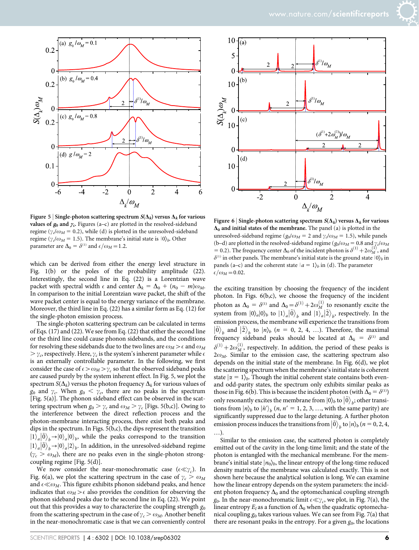

Figure 5 | Single-photon scattering spectrum  $S(\Delta_k)$  versus  $\Delta_k$  for various values of  $g_0$  and  $\gamma_c$ . Figures (a–c) are plotted in the resolved-sideband regime ( $\gamma_d/\omega_M = 0.2$ ), while (d) is plotted in the unresolved-sideband regime ( $\gamma_c/\omega_M = 1.5$ ). The membrane's initial state is  $|0\rangle_b$ . Other parameter are  $\Delta_0 = \delta^{(1)}$  and  $\epsilon/\omega_M = 1.2$ .

which can be derived from either the energy level structure in Fig. 1(b) or the poles of the probability amplitude (22). Interestingly, the second line in Eq. (22) is a Lorentzian wave packet with spectral width  $\epsilon$  and center  $\Delta_k = \Delta_0 + (n_0 - m)\omega_M$ . In comparison to the initial Lorentzian wave packet, the shift of the wave packet center is equal to the energy variance of the membrane. Moreover, the third line in Eq. (22) has a similar form as Eq. (12) for the single-photon emission process.

The single-photon scattering spectrum can be calculated in terms of Eqs. (17) and (22). We see from Eq. (22) that either the second line or the third line could cause phonon sidebands, and the conditions for resolving these sidebands due to the two lines are  $\omega_M > \epsilon$  and  $\omega_M$  $\gamma_c$ , respectively. Here,  $\gamma_c$  is the system's inherent parameter while  $\epsilon$ is an externally controllable parameter. In the following, we first consider the case of  $\epsilon > \omega_M > \gamma_c$  so that the observed sideband peaks are caused purely by the system inherent effect. In Fig. 5, we plot the spectrum  $S(\Delta_k)$  versus the photon frequency  $\Delta_k$  for various values of  $g_0$  and  $\gamma_c$ . When  $g_0 < \gamma_c$ , there are no peaks in the spectrum [Fig. 5(a)]. The phonon sideband effect can be observed in the scattering spectrum when  $g_0 > \gamma_c$  and  $\omega_M > \gamma_c$  [Figs. 5(b,c)]. Owing to the interference between the direct reflection process and the photon-membrane interacting process, there exist both peaks and dips in the spectrum. In Figs. 5(b,c), the dips represent the transition  $|1\rangle_a |\tilde{0}\rangle_b \rightarrow |0\rangle_a |0\rangle_b$ , while the peaks correspond to the transition  $\left|1\right\rangle_a \left|0\right\rangle_b \rightarrow \left|0\right\rangle_a \left|2\right\rangle_b$ . In addition, in the unresolved-sideband regime  $(\gamma_c > \omega_M)$ , there are no peaks even in the single-photon strongcoupling regime [Fig. 5(d)].

We now consider the near-monochromatic case ( $\epsilon \ll \gamma_c$ ). In Fig. 6(a), we plot the scattering spectrum in the case of  $\gamma_c > \omega_M$ and  $\epsilon \ll \omega_M$ . This figure exhibits phonon sideband peaks, and hence indicates that  $\omega_M > \epsilon$  also provides the condition for observing the phonon sideband peaks due to the second line in Eq. (22). We point out that this provides a way to characterize the coupling strength  $g_0$ from the scattering spectrum in the case of  $\gamma_c > \omega_M$ . Another benefit in the near-monochromatic case is that we can conveniently control



Figure 6 | Single-photon scattering spectrum  $S(\Delta_k)$  versus  $\Delta_k$  for various  $\Delta_0$  and initial states of the membrane. The panel (a) is plotted in the unresolved-sideband regime ( $g_0/\omega_M = 2$  and  $\gamma_d/\omega_M = 1.5$ ), while panels (b–d) are plotted in the resolved-sideband regime ( $g_0/\omega_M = 0.8$  and  $\gamma_c/\omega_M$ = 0.2). The frequency center  $\Delta_0$  of the incident photon is  $\delta^{(1)} + 2\omega_M^{(1)}$ , and  $\delta^{(1)}$  in other panels. The membrane's initial state is the ground state  $|0\rangle_b$  in panels (a–c) and the coherent state  $|a = 1\rangle_b$  in (d). The parameter  $\epsilon/\omega_M$  = 0.02.

the exciting transition by choosing the frequency of the incident photon. In Figs. 6(b,c), we choose the frequency of the incident photon as  $\Delta_0 = \delta^{(1)}$  and  $\Delta_0 = \delta^{(1)} + 2\omega_M^{(1)}$  to resonantly excite the system from  $|0\rangle_a|0\rangle_b$  to  $|1\rangle_a|\tilde{0}\rangle_b$  and  $|1\rangle_a|\tilde{2}\rangle_b$ , respectively. In the emission process, the membrane will experience the transitions from  $|\tilde{0}\rangle_b$  and  $|\tilde{2}\rangle_b$  to  $|n\rangle_b$  ( $n = 0, 2, 4, ...$ ). Therefore, the maximal frequency sideband peaks should be located at  $\Delta_k = \delta^{(1)}$  and  $\delta^{(1)} + 2\omega_M^{(1)}$ , respectively. In addition, the period of these peaks is  $2\omega_M$ . Similar to the emission case, the scattering spectrum also depends on the initial state of the membrane. In Fig. 6(d), we plot the scattering spectrum when the membrane's initial state is coherent state  $|\alpha = 1\rangle$ <sub>b</sub>. Though the initial coherent state contains both evenand odd-parity states, the spectrum only exhibits similar peaks as those in Fig. 6(b). This is because the incident photon (with  $\Delta_0 = \delta^{(1)}$ ) only resonantly excites the membrane from  $|0\rangle_b$  to  $|\tilde{0}\rangle_b$ ; other transitions from  $|n\rangle_b$  to  $|\tilde{n}'\rangle_b$  (*n*, *n'* = 1, 2, 3, …, with the same parity) are significantly suppressed due to the large detuning. A further photon emission process induces the transitions from  $|\tilde{0}\rangle_b$  to  $|n\rangle_b$  ( $n = 0, 2, 4$ , …).

Similar to the emission case, the scattered photon is completely emitted out of the cavity in the long-time limit; and the state of the photon is entangled with the mechanical membrane. For the membrane's initial state  $|n_0\rangle_b$ , the linear entropy of the long-time reduced density matrix of the membrane was calculated exactly. This is not shown here because the analytical solution is long. We can examine how the linear entropy depends on the system parameters: the incident photon frequency  $\Delta_0$  and the optomechanical coupling strength  $g_0$ . In the near-monochromatic limit  $\epsilon \ll \gamma_c$ , we plot, in Fig. 7(a), the linear entropy  $E_l$  as a function of  $\Delta_0$  when the quadratic optomechanical coupling  $g_0$  takes various values. We can see from Fig. 7(a) that there are resonant peaks in the entropy. For a given  $g_0$ , the locations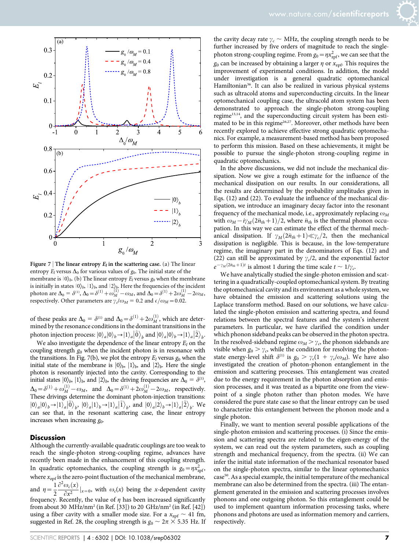

Figure 7 | The linear entropy  $E_l$  in the scattering case. (a) The linear entropy  $E_l$  versus  $\Delta_0$  for various values of  $g_0$ . The initial state of the membrane is  $|0\rangle_b$ . (b) The linear entropy  $E_l$  versus  $g_0$  when the membrane is initially in states  $|0\rangle_b, |1\rangle_b$  and  $|2\rangle_b$ . Here the frequencies of the incident photon are  $\Delta_0 = \delta^{(1)}$ ,  $\Delta_0 = \delta^{(1)} + \omega_M^{(1)} - \omega_M$ , and  $\Delta_0 = \delta^{(1)} + 2\omega_M^{(1)} - 2\omega_M$ , respectively. Other parameters are  $\gamma_c/\omega_M = 0.2$  and  $\epsilon/\omega_M = 0.02$ .

of these peaks are  $\Delta_0 = \delta^{(1)}$  and  $\Delta_0 = \delta^{(1)} + 2\omega_M^{(1)}$ , which are determined by the resonance conditions in the dominant transitions in the photon injection process:  $|0\rangle_a|0\rangle_b \rightarrow |1\rangle_a|\tilde{0}\rangle_b$  and  $|0\rangle_a|0\rangle_b \rightarrow |1\rangle_a|\tilde{2}\rangle_b$ .

We also investigate the dependence of the linear entropy  $E_l$  on the coupling strength  $g_0$  when the incident photon is in resonance with the transitions. In Fig. 7(b), we plot the entropy  $E_l$  versus  $g_0$  when the initial state of the membrane is  $|0\rangle_b$ ,  $|1\rangle_b$ , and  $|2\rangle_b$ . Here the single photon is resonantly injected into the cavity. Corresponding to the initial states  $|0\rangle_b$ ,  $|1\rangle_b$ , and  $|2\rangle_b$ , the driving frequencies are  $\Delta_0 = \delta^{(1)}$ ,  $\Delta_0 = \delta^{(1)} + \omega_M^{(1)} - \omega_M$ , and  $\Delta_0 = \delta^{(1)} + 2\omega_M^{(1)} - 2\omega_M$ , respectively. These drivings determine the dominant photon-injection transitions: First dividend the dominant proton injection durations.<br>  $|0\rangle_a|0\rangle_b \rightarrow |1\rangle_a|\overline{0}\rangle_b$ ,  $|0\rangle_a|1\rangle_b \rightarrow |1\rangle_a|\overline{1}\rangle_b$ , and  $|0\rangle_a|2\rangle_b \rightarrow |1\rangle_a|\overline{2}\rangle_b$ . We can see that, in the resonant scattering case, the linear entropy increases when increasing  $g_0$ .

#### **Discussion**

Although the currently-available quadratic couplings are too weak to reach the single-photon strong-coupling regime, advances have recently been made in the enhancement of this coupling strength. In quadratic optomechanics, the coupling strength is  $g_0 = \eta x_{\text{zpf}}^2$ , where  $x_{\text{zpf}}$  is the zero-point fluctuation of the mechanical membrane, and  $\eta=\frac{1}{2}$  $\frac{\partial^2 \omega_c(x)}{\partial x^2}\Big|_{x=0}$ , with  $\omega_c(x)$  being the x-dependent cavity frequency. Recently, the value of  $\eta$  has been increased significantly from about 30 MHz/nm<sup>2</sup> (in Ref. [33]) to 20 GHz/nm<sup>2</sup> (in Ref. [42]) using a fiber cavity with a smaller mode size. For a  $x_{\text{zpf}} \sim 41 \text{ fm}$ ,

suggested in Ref. 28, the coupling strength is  $g_0 \sim 2\pi \times 5.35$  Hz. If

the cavity decay rate  $\gamma_c \sim \text{MHz}$ , the coupling strength needs to be further increased by five orders of magnitude to reach the singlephoton strong-coupling regime. From  $g_0 = \eta x_{\text{zpf}}^2$ , we can see that the  $g_0$  can be increased by obtaining a larger  $\eta$  or  $x_{\text{zpf}}$ . This requires the improvement of experimental conditions. In addition, the model under investigation is a general quadratic optomechanical Hamiltonian<sup>36</sup>. It can also be realized in various physical systems such as ultracold atoms and superconducting circuits. In the linear optomechanical coupling case, the ultracold atom system has been demonstrated to approach the single-photon strong-coupling regime<sup>13,14</sup>, and the superconducting circuit system has been estimated to be in this regime<sup>26,27</sup>. Moreover, other methods have been recently explored to achieve effective strong quadratic optomechanics. For example, a measurement-based method has been proposed to perform this mission. Based on these achievements, it might be possible to pursue the single-photon strong-coupling regime in quadratic optomechanics.

In the above discussions, we did not include the mechanical dissipation. Now we give a rough estimate for the influence of the mechanical dissipation on our results. In our considerations, all the results are determined by the probability amplitudes given in Eqs. (12) and (22). To evaluate the influence of the mechanical dissipation, we introduce an imaginary decay factor into the resonant frequency of the mechanical mode, i.e., approximately replacing  $\omega_M$ with  $\omega_M - i\gamma_M(2\bar{n}_{th} + 1)/2$ , where  $\bar{n}_{th}$  is the thermal phonon occupation. In this way we can estimate the effect of the thermal mechanical dissipation. If  $\gamma_M(2\bar{n}_{th}+1) \ll \gamma_c/2$ , then the mechanical dissipation is negligible. This is because, in the low-temperature regime, the imaginary part in the denominators of Eqs. (12) and (22) can still be approximated by  $\gamma_c/2$ , and the exponential factor  $e^{-\gamma_M (2\bar{n}_{th}+1)t}$  is almost 1 during the time scale  $t \sim 1/\gamma_c$ .

We have analytically studied the single-photon emission and scattering in a quadratically-coupled optomechanical system. By treating the optomechanical cavity and its environment as a whole system, we have obtained the emission and scattering solutions using the Laplace transform method. Based on our solutions, we have calculated the single-photon emission and scattering spectra, and found relations between the spectral features and the system's inherent parameters. In particular, we have clarified the condition under which phonon sideband peaks can be observed in the photon spectra. In the resolved-sideband regime  $\omega_M > \gamma_c$ , the phonon sidebands are visible when  $g_0 > \gamma_c$ , while the condition for resolving the photonstate energy-level shift  $\delta^{(1)}$  is  $g_0 > \gamma_c(1 + \gamma_c/\omega_M)$ . We have also investigated the creation of photon-phonon entanglement in the emission and scattering processes. This entanglement was created due to the energy requirement in the photon absorption and emission processes, and it was treated as a bipartite one from the viewpoint of a single photon rather than photon modes. We have considered the pure state case so that the linear entropy can be used to characterize this entanglement between the phonon mode and a single photon.

Finally, we want to mention several possible applications of the single-photon emission and scattering processes. (i) Since the emission and scattering spectra are related to the eigen-energy of the system, we can read out the system parameters, such as coupling strength and mechanical frequency, from the spectra. (ii) We can infer the initial state information of the mechanical resonator based on the single-photon spectra, similar to the linear optomechanics case<sup>50</sup>. As a special example, the initial temperature of the mechanical membrane can also be determined from the spectra. (iii) The entanglement generated in the emission and scattering processes involves phonons and one outgoing photon. So this entanglement could be used to implement quantum information processing tasks, where phonons and photons are used as information memory and carriers, respectively.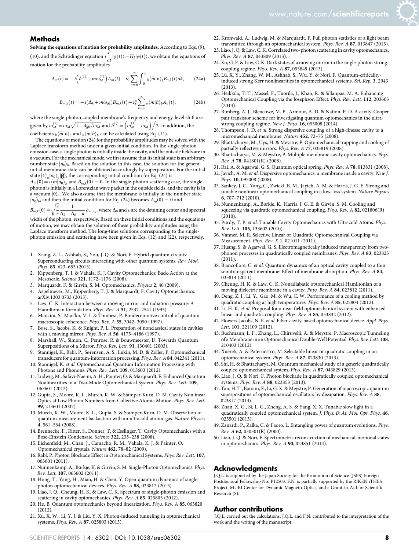

#### **Methods**

Solving the equations of motion for probability amplitudes. According to Eqs. (9), (10), and the Schrödinger equation  $i\frac{\partial}{\partial x}$  $\frac{\partial}{\partial t}|\varphi(t)\rangle = H_I|\varphi(t)\rangle$ , we obtain the equations of motion for the probability amplitudes

$$
\dot{A}_m(t) = -i\left(\delta^{(1)} + m\omega_M^{(1)}\right)A_m(t) - i\xi \sum_{n=0}^{\infty} \int_0^{\infty} b\langle \tilde{m} | n \rangle_b B_{n,k}(t)dk, \qquad (24a)
$$

$$
\dot{B}_{m,k}(t) = -i(\Delta_k + m\omega_M)B_{m,k}(t) - i\zeta \sum_{n=0}^{\infty} b\langle m|\tilde{n}\rangle_b A_n(t),
$$
 (24b)

where the single-photon coupled membrane's frequency and energy-level shift are given by  $\omega_M^{(1)} = \omega_M \sqrt{1 + 4g_0/\omega_M}$  and  $\delta^{(1)} = \left(\omega_M^{(1)} - \omega_M\right)/2$ . In addition, the coefficients  $\sqrt[m]{m} \ket{n}_h$  and  $\sqrt[m]{m} \ket{\tilde{n}}_h$  can be calculated using Eq. (11).

The equations of motion (24) for the probability amplitudes may be solved with the Laplace transform method under a given initial condition. In the single-photon emission case, a single photon is initially inside the cavity, and the outside fields are in a vacuum. For the mechanical mode, we first assume that its initial state is an arbitrary number state  $|n_0\rangle_b$ . Based on the solution in this case, the solution for the general initial membrane state can be obtained accordingly by superposition. For the initial state  $|1\rangle_a |n_0\rangle_b |0\rangle$ , the corresponding initial condition for Eq. (24) is  $A_m(0) = b \langle \tilde{m} | n_0 \rangle_b$  and  $B_{m,k}(0) = 0$ . In the single-photon scattering case, the single

photon is initially in a Lorentzian wave packet in the outside fields, and the cavity is in a vacuum  $|0\rangle_a$ . We also assume that the membrane is initially in the number state  $|n_0\rangle_b$ , and then the initial condition for Eq. (24) becomes  $A_m(0) = 0$  and

 $B_{m,k}(0) = \sqrt{\frac{\epsilon}{\pi}}$  $\pi$  $\sqrt{\epsilon}$  1  $\Delta_k-\Delta_0+i\epsilon$  $-\delta_{m,n_0}$ , where  $\Delta_0$  and  $\epsilon$  are the detuning center and spectral

width of the photon, respectively. Based on these initial conditions and the equations of motion, we may obtain the solution of these probability amplitudes using the Laplace transform method. The long-time solutions corresponding to the singlephoton emission and scattering have been given in Eqs. (12) and (22), respectively.

- 1. Xiang, Z. L., Ashhab, S., You, J. Q. & Nori, F. Hybrid quantum circuits: Superconducting circuits interacting with other quantum systems. Rev. Mod. Phys. 85, 623-653 (2013).
- 2. Kippenberg, T. J. & Vahala, K. J. Cavity Optomechanics: Back-Action at the Mesoscale. Science 321, 1172–1176 (2008).
- 3. Marquardt, F. & Girvin, S. M. Optomechanics. Physics 2, 40 (2009).
- Aspelmeyer, M., Kippenberg, T. J. & Marquardt, F. Cavity Optomechanics. arXiv:1303.0733 (2013).
- Law, C. K. Interaction between a moving mirror and radiation pressure: A Hamiltonian formulation. Phys. Rev. A 51, 2537–2541 (1995).
- 6. Mancini, S., Man'ko, V. I. & Tombesi, P. Ponderomotive control of quantum macroscopic coherence. Phys. Rev. A 55, 3042–3050 (1997).
- 7. Bose, S., Jacobs, K. & Knight, P. L. Preparation of nonclassical states in cavities with a moving mirror. Phys. Rev. A 56, 4175–4186 (1997).
- 8. Marshall, W., Simon, C., Penrose, R. & Bouwmeester, D. Towards Quantum Superpositions of a Mirror. Phys. Rev. Lett. 91, 130401 (2003).
- 9. Stannigel, K., Rabl, P., Sørensen, A. S., Lukin, M. D. & Zoller, P. Optomechanical transducers for quantum-information processing. Phys. Rev. A 84, 042341 (2011).
- 10. Stannigel, K. et al. Optomechanical Quantum Information Processing with Photons and Phonons. Phys. Rev. Lett. 109, 013603 (2012).
- 11. Ludwig, M., Safavi-Naeini, A. H., Painter, O. & Marquardt, F. Enhanced Quantum Nonlinearities in a Two-Mode Optomechanical System. Phys. Rev. Lett. 109, 063601 (2012).
- 12. Gupta, S., Moore, K. L., Murch, K. W. & Stamper-Kurn, D. M. Cavity Nonlinear Optics at Low Photon Numbers from Collective Atomic Motion. Phys. Rev. Lett. 99, 213601 (2007).
- 13. Murch, K. W., Moore, K. L., Gupta, S. & Stamper-Kurn, D. M. Observation of quantum-measurement backaction with an ultracold atomic gas. Nature Physics 4, 561–564 (2008).
- 14. Brennecke, F., Ritter, S., Donner, T. & Esslinger, T. Cavity Optomechanics with a Bose-Einstein Condensate. Science 322, 235–238 (2008).
- 15. Eichenfield, M., Chan, J., Camacho, R. M., Vahala, K. J. & Painter, O. Optomechanical crystals. Nature 462, 78–82 (2009).
- 16. Rabl, P. Photon Blockade Effect in Optomechanical Systems. Phys. Rev. Lett. 107, 063601 (2011).
- 17. Nunnenkamp, A., Børkje, K. & Girvin, S. M. Single-Photon Optomechanics. Phys. Rev. Lett. 107, 063602 (2011).
- 18. Hong, T., Yang, H., Miao, H. & Chen, Y. Open quantum dynamics of singlephoton optomechanical devices. Phys. Rev. A 88, 023812 (2013).
- 19. Liao, J. Q., Cheung, H. K. & Law, C. K. Spectrum of single-photon emission and scattering in cavity optomechanics. Phys. Rev. A 85, 025803 (2012).
- 20. He, B. Quantum optomechanics beyond linearization. Phys. Rev. A 85, 063820 (2012).
- 21. Xu, X. W., Li, Y. J. & Liu, Y. X. Photon-induced tunneling in optomechanical systems. Phys. Rev. A 87, 025803 (2013).
- 22. Kronwald, A., Ludwig, M. & Marquardt, F. Full photon statistics of a light beam transmitted through an optomechanical system. Phys. Rev. A 87, 013847 (2013).
- 23. Liao, J. Q. & Law, C. K. Correlated two-photon scattering in cavity optomechanics. Phys. Rev. A 87, 043809 (2013).
- 24. Xu, G. F. & Law, C. K. Dark states of a moving mirror in the single-photon strongcoupling regime. Phys. Rev. A 87, 053849 (2013).
- 25. Lü, X. Y., Zhang, W. M., Ashhab, S., Wu, Y. & Nori, F. Quantum-criticalityinduced strong Kerr nonlinearities in optomechanical systems. Sci. Rep. 3, 2943 (2013).
- 26. Heikkilä, T. T., Massel, F., Tuorila, J., Khan, R. & Sillanpää, M. A. Enhancing Optomechanical Coupling via the Josephson Effect. Phys. Rev. Lett. 112, 203603 (2014).
- 27. Rimberg, A. J., Blencowe, M. P., Armour, A. D. & Nation, P. D. A cavity-Cooper pair transistor scheme for investigating quantum optomechanics in the ultrastrong coupling regime. New J. Phys. 16, 055008 (2014).
- 28. Thompson, J. D. et al. Strong dispersive coupling of a high-finesse cavity to a micromechanical membrane. Nature 452, 72–75 (2008).
- 29. Bhattacharya, M., Uys, H. & Meystre, P. Optomechanical trapping and cooling of partially reflective mirrors. Phys. Rev. A 77, 033819 (2008).
- 30. Bhattacharya, M. & Meystre, P. Multiple membrane cavity optomechanics. Phys. Rev. A 78, 041801(R) (2008).
- 31. Rai, A. & Agarwal, G. S. Quantum optical spring. Phys. Rev. A 78, 013831 (2008).
- 32. Jayich, A. M. et al. Dispersive optomechanics: a membrane inside a cavity. New J. Phys. 10, 095008 (2008).
- 33. Sankey, J. C., Yang, C., Zwickl, B. M., Jayich, A. M. & Harris, J. G. E. Strong and tunable nonlinear optomechanical coupling in a low-loss system. Nature Physics 6, 707–712 (2010).
- 34. Nunnenkamp, A., Børkje, K., Harris, J. G. E. & Girvin, S. M. Cooling and squeezing via quadratic optomechanical coupling. Phys. Rev. A 82, 021806(R) (2010).
- 35. Purdy, T. P. et al. Tunable Cavity Optomechanics with Ultracold Atoms. Phys. Rev. Lett. 105, 133602 (2010).
- 36. Vanner, M. R. Selective Linear or Quadratic Optomechanical Coupling via Measurement. Phys. Rev. X 1, 021011 (2011).
- 37. Huang, S. & Agarwal, G. S. Electromagnetically induced transparency from twophonon processes in quadratically coupled membranes. Phys. Rev. A 83, 023823 (2011).
- 38. Biancofiore, C. et al. Quantum dynamics of an optical cavity coupled to a thin semitransparent membrane: Effect of membrane absorption. Phys. Rev. A 84, 033814 (2011).
- 39. Cheung, H. K. & Law, C. K. Nonadiabatic optomechanical Hamiltonian of a moving dielectric membrane in a cavity. Phys. Rev. A 84, 023812 (2011).
- 40. Deng, Z. J., Li, Y., Gao, M. & Wu, C. W. Performance of a cooling method by quadratic coupling at high temperatures. Phys. Rev. A 85, 025804 (2012).
- 41. Li, H. K. et al. Proposal for a near-field optomechanical system with enhanced linear and quadratic coupling. Phys. Rev. A 85, 053832 (2012).
- 42. Flowers-Jacobs, N. E. et al. Fiber-cavity-based optomechanical device. Appl. Phys. Lett. 101, 221109 (2012).
- 43. Buchmann, L. F., Zhang, L., Chiruvelli, A. & Meystre, P. Macroscopic Tunneling of a Membrane in an Optomechanical Double-Well Potential. Phys. Rev. Lett. 108, 210403 (2012).
- 44. Xuereb, A. & Paternostro, M. Selectable linear or quadratic coupling in an optomechanical system. Phys. Rev. A 87, 023830 (2013).
- 45. Shi, H. & Bhattacharya, M. Quantum mechanical study of a generic quadratically coupled optomechanical system. Phys. Rev. A 87, 043829 (2013).
- 46. Liao, J. Q. & Nori, F. Photon blockade in quadratically coupled optomechanical systems. Phys. Rev. A 88, 023853 (2013).
- 47. Tan, H. T., Bariani, F., Li, G. X. & Meystre, P. Generation of macroscopic quantum superpositions of optomechanical oscillators by dissipation. Phys. Rev. A 88, 023817 (2013).
- 48. Zhan, X. G., Si, L. G., Zheng, A. S. & Yang, X. X. Tunable slow light in a quadratically coupled optomechanical system. J. Phys. B: At. Mol. Opt. Phys. 46, 025501 (2013).
- 49. Zanardi, P., Zalka, C. & Faoro, L. Entangling power of quantum evolutions. Phys. Rev. A 62, 030301(R) (2000).
- 50. Liao, J. Q. & Nori, F. Spectrometric reconstruction of mechanical-motional states in optomechanics. Phys. Rev. A 90, 023851 (2014).

#### Acknowledgments

J.Q.L. is supported by the Japan Society for the Promotion of Science (JSPS) Foreign Postdoctoral Fellowship No. P12503. F.N. is partially supported by the RIKEN iTHES Project, MURI Center for Dynamic Magneto-Optics, and a Grant-in-Aid for Scientific Research (S).

#### Author contributions

J.Q.L. carried out the calculations, J.Q.L. and F.N. contributed to the interpretation of the work and the writing of the manuscript.